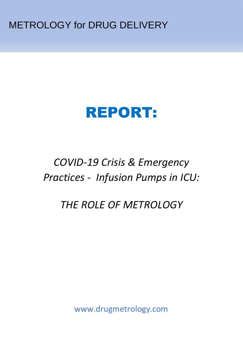METROLOGY for DRUG DELIVERY

# REPORT:

## *COVID-19 Crisis & Emergency Practices - Infusion Pumps in ICU:*

## *THE ROLE OF METROLOGY*

www.drugmetrology.com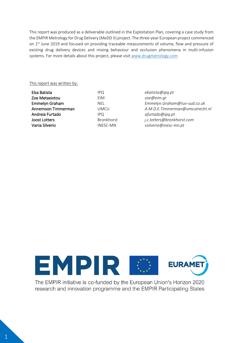This report was produced as a deliverable outlined in the Exploitation Plan, covering a case study from the EMPIR Metrology for Drug Delivery (MeDD II) project. The three-year European project commenced on 1<sup>st</sup> June 2019 and focused on providing traceable measurements of volume, flow and pressure of existing drug delivery devices and mixing behaviour and occlusion phenomena in multi-infusion systems. For more details about this project, please visit [www.drugmetrology.com](http://www.drugmetrology.com/)

#### This report was written by:

| IPO               | ebatista@ipq.pt                 |
|-------------------|---------------------------------|
| EIM               | zoe@eim.gr                      |
| <b>NEL</b>        | Emmelyn.Graham@tuv-sud.co.uk    |
| UMCU              | A.M.D.E.Timmerman@umcutrecht.nl |
| IPO.              | afurtado@ipq.pt                 |
| <b>Bronkhorst</b> | j.c.lotters@bronkhorst.com      |
| <b>INESC-MN</b>   | vsilverio@inesc-mn.pt           |
|                   |                                 |



The EMPIR initiative is co-funded by the European Union's Horizon 2020 research and innovation programme and the EMPIR Participating States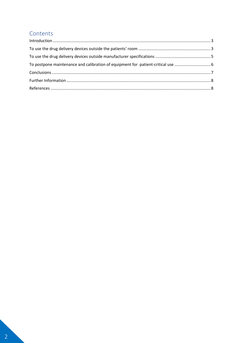### Contents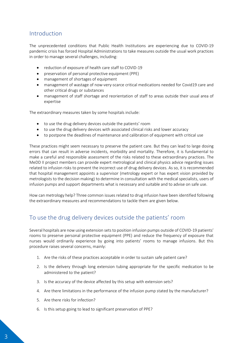#### <span id="page-3-0"></span>Introduction

The unprecedented conditions that Public Health Institutions are experiencing due to COVID-19 pandemic crisis has forced Hospital Administrations to take measures outside the usual work practices in order to manage several challenges, including:

- reduction of exposure of health care staff to COVID-19
- preservation of personal protective equipment (PPE)
- management of shortages of equipment
- management of wastage of now-very-scarce critical medications needed for Covid19 care and other critical drugs or substances
- management of staff shortage and reorientation of staff to areas outside their usual area of expertise

The extraordinary measures taken by some hospitals include:

- to use the drug delivery devices outside the patients' room
- to use the drug delivery devices with associated clinical risks and lower accuracy
- to postpone the deadlines of maintenance and calibration of equipment with critical use

These practices might seem necessary to preserve the patient care. But they can lead to large dosing errors that can result in adverse incidents, morbidity and mortality. Therefore, it is fundamental to make a careful and responsible assessment of the risks related to these extraordinary practices. The MeDD II project members can provide expert metrological and clinical physics advice regarding issues related to infusion risks to prevent the incorrect use of drug delivery devices. As so, it is recommended that hospital management appoints a supervisor (metrology expert or has expert vision provided by metrologists to the decision making) to determine in consultation with the medical specialists, users of infusion pumps and support departments what is necessary and suitable and to advise on safe use.

How can metrology help? Three common issues related to drug infusion have been identified following the extraordinary measures and recommendations to tackle them are given below.

#### <span id="page-3-1"></span>To use the drug delivery devices outside the patients' room

Several hospitals are now using extension sets to position infusion pumps outside of COVID-19 patients' rooms to preserve personal protective equipment (PPE) and reduce the frequency of exposure that nurses would ordinarily experience by going into patients' rooms to manage infusions. But this procedure raises several concerns, mainly:

- 1. Are the risks of these practices acceptable in order to sustain safe patient care?
- 2. Is the delivery through long extension tubing appropriate for the specific medication to be administered to the patient?
- 3. Is the accuracy of the device affected by this setup with extension sets?
- 4. Are there limitations in the performance of the infusion pump stated by the manufacturer?
- 5. Are there risks for infection?
- 6. Is this setup going to lead to significant preservation of PPE?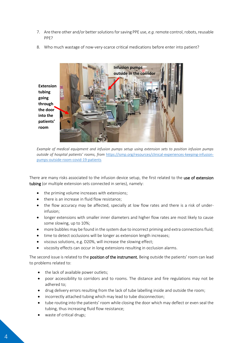- 7. Are there other and/or bettersolutions for saving PPE use, *e.g.*remote control, robots, reusable PPE?
- 8. Who much wastage of now-very-scarce critical medications before enter into patient?





There are many risks associated to the infusion device setup, the first related to the use of extension tubing (or multiple extension sets connected in series), namely:

- the priming volume increases with extensions;
- there is an increase in fluid flow resistance;
- the flow accuracy may be affected, specially at low flow rates and there is a risk of underinfusion;
- longer extensions with smaller inner diameters and higher flow rates are most likely to cause some slowing, up to 10%;
- more bubbles may be found in the system due to incorrect priming and extra connections fluid;
- time to detect occlusions will be longer as extension length increases:
- viscous solutions, e.g. D20%, will increase the slowing effect;
- viscosity effects can occur in long extensions resulting in occlusion alarms.

The second issue is related to the **position of the instrument**. Being outside the patients' room can lead to problems related to:

- the lack of available power outlets;
- poor accessibility to corridors and to rooms. The distance and fire regulations may not be adhered to;
- drug delivery errors resulting from the lack of tube labelling inside and outside the room;
- incorrectly attached tubing which may lead to tube disconnection;
- tube routing into the patients' room while closing the door which may deflect or even seal the tubing, thus increasing fluid flow resistance;
- waste of critical drugs;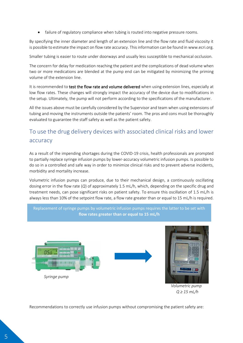failure of regulatory compliance when tubing is routed into negative pressure rooms.

By specifying the inner diameter and length of an extension line and the flow rate and fluid viscosity it is possible to estimate the impact on flow rate accuracy. This information can be found in www.ecri.org.

Smaller tubing is easier to route under doorways and usually less susceptible to mechanical occlusion.

The concern for delay for medication reaching the patient and the complications of dead volume when two or more medications are blended at the pump end can be mitigated by minimizing the priming volume of the extension line.

It is recommended to test the flow rate and volume delivered when using extension lines, especially at low flow rates. These changes will strongly impact the accuracy of the device due to modifications in the setup. Ultimately, the pump will not perform according to the specifications of the manufacturer.

All the issues above must be carefully considered by the Supervisor and team when using extensions of tubing and moving the instruments outside the patients' room. The pros and cons must be thoroughly evaluated to guarantee the staff safety as well as the patient safety.

## <span id="page-5-0"></span>To use the drug delivery devices with associated clinical risks and lower accuracy

As a result of the impending shortages during the COVID-19 crisis, health professionals are prompted to partially replace syringe infusion pumps by lower-accuracy volumetric infusion pumps. Is possible to do so in a controlled and safe way in order to minimize clinical risks and to prevent adverse incidents, morbidity and mortality increase.

Volumetric infusion pumps can produce, due to their mechanical design, a continuously oscillating dosing error in the flow rate (*Q*) of approximately 1.5 mL/h, which, depending on the specific drug and treatment needs, can pose significant risks on patient safety. To ensure this oscillation of 1.5 mL/h is always less than 10% of the setpoint flow rate, a flow rate greater than or equal to 15 mL/h is required.



 *Volumetric pump Q ≥ 15 mL/h*

Recommendations to correctly use infusion pumps without compromising the patient safety are: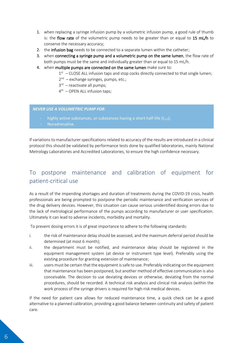- 1. when replacing a syringe infusion pump by a volumetric infusion pump, a good rule of thumb is: the flow rate of the volumetric pump needs to be greater than or equal to  $15 \text{ mL/h}$  to conserve the necessary accuracy;
- 2. the infusion bag needs to be connected to a separate lumen within the catheter;
- 3. when connecting a syringe pump and a volumetric pump on the same lumen, the flow rate of both pumps must be the same and individually greater than or equal to 15 mL/h.
- 4. when multiple pumps are connected on the same lumen make sure to:
	- $1<sup>st</sup>$  CLOSE ALL infusion taps and stop cocks directly connected to that single lumen;
	- 2<sup>nd</sup> exchange syringes, pumps, etc.;
	- 3<sup>rd</sup> reactivate all pumps;
	- 4 th OPEN ALL infusion taps;

#### *NEVER USE A VOLUMETRIC PUMP FOR:*

- highly active substances, or substances having a short half-life  $(t_{1/2})$ ;
- Noradrenaline.

If variations to manufacturer specifications related to accuracy of the results are introduced in a clinical protocol this should be validated by performance tests done by qualified laboratories, mainly National Metrology Laboratories and Accredited Laboratories, to ensure the high confidence necessary.

## <span id="page-6-0"></span>To postpone maintenance and calibration of equipment for patient-critical use

As a result of the impending shortages and duration of treatments during the COVID-19 crisis, health professionals are being prompted to postpone the periodic maintenance and verification services of the drug delivery devices. However, this situation can cause serious unidentified dosing errors due to the lack of metrological performance of the pumps according to manufacturer or user specification. Ultimately it can lead to adverse incidents, morbidity and mortality.

To prevent dosing errors it is of great importance to adhere to the following standards:

- i. the risk of maintenance delay should be assessed, and the maximum deferral period should be determined (at most 6 month);
- ii. the department must be notified, and maintenance delay should be registered in the equipment management system (at device or instrument type level). Preferably using the existing procedure for granting extension of maintenance;
- iii. users must be certain that the equipment is safe to use. Preferably indicating on the equipment that maintenance has been postponed, but another method of effective communication is also conceivable. The decision to use deviating devices or otherwise, deviating from the normal procedures, should be recorded. A technical risk analysis and clinical risk analysis (within the work process of the syringe drivers is required for high-risk medical devices.

If the need for patient care allows for reduced maintenance time, a quick check can be a good alternative to a planned calibration, providing a good balance between continuity and safety of patient care.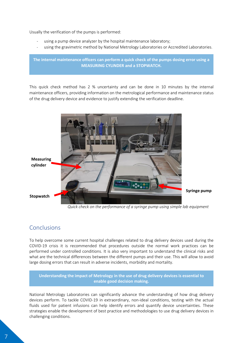Usually the verification of the pumps is performed:

- using a pump device analyzer by the hospital maintenance laboratory;
- using the gravimetric method by National Metrology Laboratories or Accredited Laboratories.

**The internal maintenance officers can perform a quick check of the pumps dosing error using a MEASURING CYLINDER and a STOPWATCH.**

This quick check method has 2 % uncertainty and can be done in 10 minutes by the internal maintenance officers, providing information on the metrological performance and maintenance status of the drug delivery device and evidence to justify extending the verification deadline.



*Quick check on the performance of a syringe pump using simple lab equipment*

#### <span id="page-7-0"></span>Conclusions

To help overcome some current hospital challenges related to drug delivery devices used during the COVID-19 crisis it is recommended that procedures outside the normal work practices can be performed under controlled conditions. It is also very important to understand the clinical risks and what are the technical differences between the different pumps and their use. This will allow to avoid large dosing errors that can result in adverse incidents, morbidity and mortality.

**Understanding the impact of Metrology in the use of drug delivery devices is essential to enable good decision making.**

National Metrology Laboratories can significantly advance the understanding of how drug delivery devices perform. To tackle COVID-19 in extraordinary, non-ideal conditions, testing with the actual fluids used for patient infusions can help identify errors and quantify device uncertainties. These strategies enable the development of best practice and methodologies to use drug delivery devices in challenging conditions.